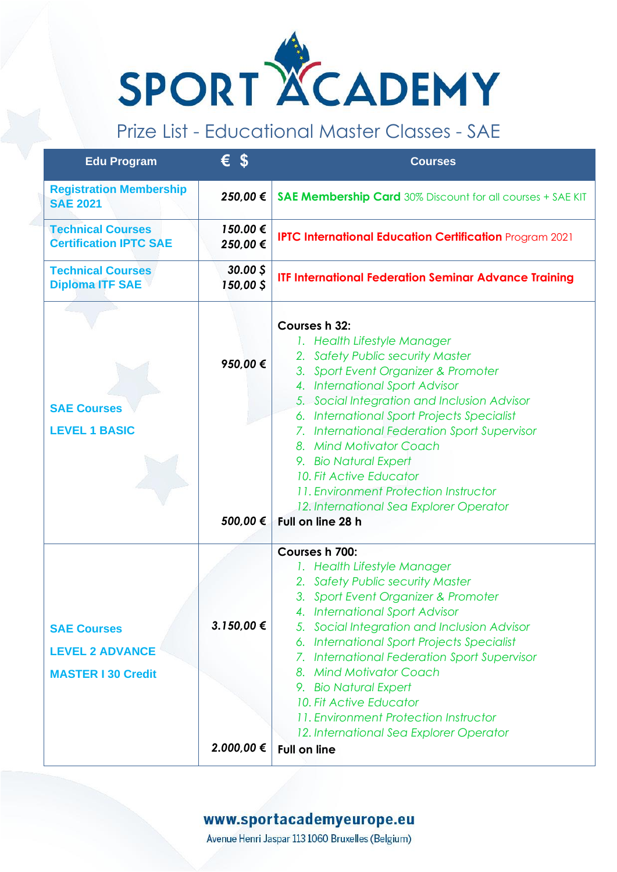

## Prize List - Educational Master Classes - SAE

| <b>Edu Program</b>                                                        | $\epsilon$ \$            | <b>Courses</b>                                                                                                                                                                                                                                                                                                                                                                                                                                                                                        |
|---------------------------------------------------------------------------|--------------------------|-------------------------------------------------------------------------------------------------------------------------------------------------------------------------------------------------------------------------------------------------------------------------------------------------------------------------------------------------------------------------------------------------------------------------------------------------------------------------------------------------------|
| <b>Registration Membership</b><br><b>SAE 2021</b>                         | 250,00 €                 | <b>SAE Membership Card</b> 30% Discount for all courses + SAE KIT                                                                                                                                                                                                                                                                                                                                                                                                                                     |
| <b>Technical Courses</b><br><b>Certification IPTC SAE</b>                 | 150.00 €<br>250,00 €     | <b>IPTC International Education Certification Program 2021</b>                                                                                                                                                                                                                                                                                                                                                                                                                                        |
| <b>Technical Courses</b><br><b>Diploma ITF SAE</b>                        | $30.00$ \$<br>150,00 \$  | <b>ITF International Federation Seminar Advance Training</b>                                                                                                                                                                                                                                                                                                                                                                                                                                          |
| <b>SAE Courses</b><br><b>LEVEL 1 BASIC</b>                                | 950,00 €<br>500,00 €     | <b>Courses h 32:</b><br>1. Health Lifestyle Manager<br>2. Safety Public security Master<br>3. Sport Event Organizer & Promoter<br>4. International Sport Advisor<br>5. Social Integration and Inclusion Advisor<br>6. International Sport Projects Specialist<br>7. International Federation Sport Supervisor<br>8. Mind Motivator Coach<br>9. Bio Natural Expert<br>10. Fit Active Educator<br>11. Environment Protection Instructor<br>12. International Sea Explorer Operator<br>Full on line 28 h |
| <b>SAE Courses</b><br><b>LEVEL 2 ADVANCE</b><br><b>MASTER I 30 Credit</b> | 3.150,00 €<br>2.000,00 € | Courses h 700:<br>1. Health Lifestyle Manager<br>2. Safety Public security Master<br>3. Sport Event Organizer & Promoter<br>4. International Sport Advisor<br>5. Social Integration and Inclusion Advisor<br>6. International Sport Projects Specialist<br>7. International Federation Sport Supervisor<br>8. Mind Motivator Coach<br>9. Bio Natural Expert<br>10. Fit Active Educator<br>11. Environment Protection Instructor<br>12. International Sea Explorer Operator<br><b>Full on line</b>     |

## www.sportacademyeurope.eu

Avenue Henri Jaspar 113 1060 Bruxelles (Belgium)